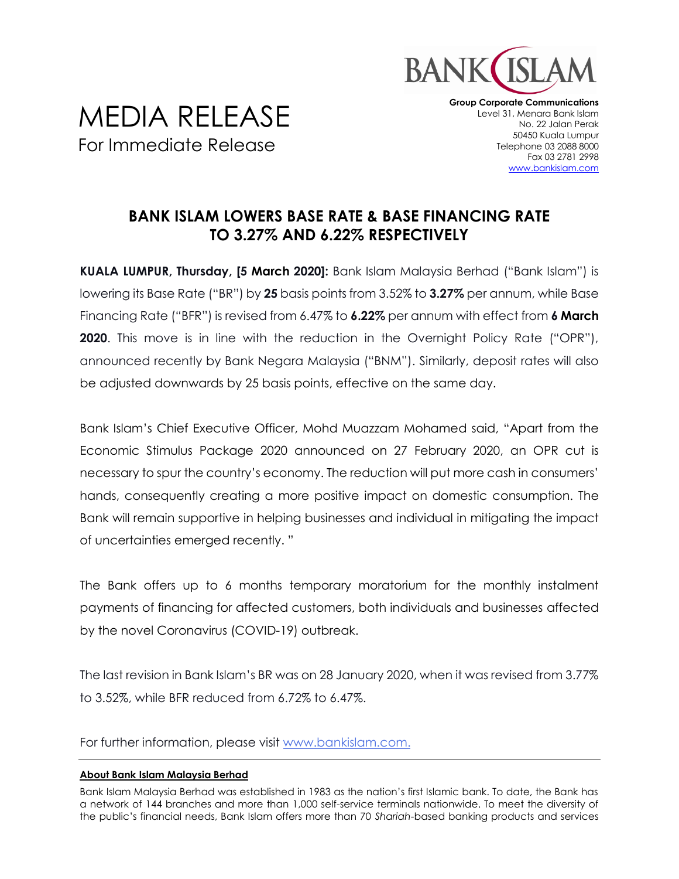

## MEDIA RELEASE For Immediate Release

**Group Corporate Communications** Level 31, Menara Bank Islam No. 22 Jalan Perak 50450 Kuala Lumpur Telephone 03 2088 8000 Fax 03 2781 2998 [www.bankislam.com](http://www.bankislam.com/)

## **BANK ISLAM LOWERS BASE RATE & BASE FINANCING RATE TO 3.27% AND 6.22% RESPECTIVELY**

**KUALA LUMPUR, Thursday, [5 March 2020]:** Bank Islam Malaysia Berhad ("Bank Islam") is lowering its Base Rate ("BR") by **25** basis points from 3.52% to **3.27%** per annum, while Base Financing Rate ("BFR") is revised from 6.47% to **6.22%** per annum with effect from **6 March 2020**. This move is in line with the reduction in the Overnight Policy Rate ("OPR"), announced recently by Bank Negara Malaysia ("BNM"). Similarly, deposit rates will also be adjusted downwards by 25 basis points, effective on the same day.

Bank Islam's Chief Executive Officer, Mohd Muazzam Mohamed said, "Apart from the Economic Stimulus Package 2020 announced on 27 February 2020, an OPR cut is necessary to spur the country's economy. The reduction will put more cash in consumers' hands, consequently creating a more positive impact on domestic consumption. The Bank will remain supportive in helping businesses and individual in mitigating the impact of uncertainties emerged recently. "

The Bank offers up to 6 months temporary moratorium for the monthly instalment payments of financing for affected customers, both individuals and businesses affected by the novel Coronavirus (COVID-19) outbreak.

The last revision in Bank Islam's BR was on 28 January 2020, when it was revised from 3.77% to 3.52%, while BFR reduced from 6.72% to 6.47%.

For further information, please visit [www.bankislam.com.](http://www.bankislam.com/)

## **About Bank Islam Malaysia Berhad**

Bank Islam Malaysia Berhad was established in 1983 as the nation's first Islamic bank. To date, the Bank has a network of 144 branches and more than 1,000 self-service terminals nationwide. To meet the diversity of the public's financial needs, Bank Islam offers more than 70 *Shariah*-based banking products and services